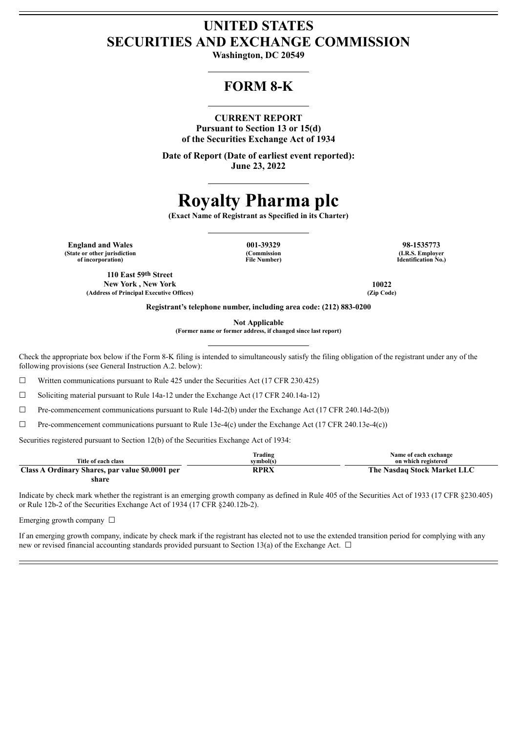# **UNITED STATES SECURITIES AND EXCHANGE COMMISSION**

**Washington, DC 20549**

# **FORM 8-K**

## **CURRENT REPORT**

**Pursuant to Section 13 or 15(d) of the Securities Exchange Act of 1934**

**Date of Report (Date of earliest event reported): June 23, 2022**

# **Royalty Pharma plc**

**(Exact Name of Registrant as Specified in its Charter)**

**England and Wales 001-39329 98-1535773 (State or other jurisdiction of incorporation)**

**110 East 59th Street New York , New York 10022 (Address of Principal Executive Offices) (Zip Code)**

**(Commission File Number)**

**(I.R.S. Employer Identification No.)**

**Registrant's telephone number, including area code: (212) 883-0200**

**Not Applicable**

**(Former name or former address, if changed since last report)**

Check the appropriate box below if the Form 8-K filing is intended to simultaneously satisfy the filing obligation of the registrant under any of the following provisions (see General Instruction A.2. below):

 $\Box$  Written communications pursuant to Rule 425 under the Securities Act (17 CFR 230.425)

 $\Box$  Soliciting material pursuant to Rule 14a-12 under the Exchange Act (17 CFR 240.14a-12)

 $\Box$  Pre-commencement communications pursuant to Rule 14d-2(b) under the Exchange Act (17 CFR 240.14d-2(b))

 $\Box$  Pre-commencement communications pursuant to Rule 13e-4(c) under the Exchange Act (17 CFR 240.13e-4(c))

Securities registered pursuant to Section 12(b) of the Securities Exchange Act of 1934:

|                                                 | lrading   | Name of each exchange       |
|-------------------------------------------------|-----------|-----------------------------|
| Title of each class                             | svmbol(s) | on which registered         |
| Class A Ordinary Shares, par value \$0,0001 per | RPRX      | The Nasdaq Stock Market LLC |
| share                                           |           |                             |

Indicate by check mark whether the registrant is an emerging growth company as defined in Rule 405 of the Securities Act of 1933 (17 CFR §230.405) or Rule 12b-2 of the Securities Exchange Act of 1934 (17 CFR §240.12b-2).

Emerging growth company  $\Box$ 

If an emerging growth company, indicate by check mark if the registrant has elected not to use the extended transition period for complying with any new or revised financial accounting standards provided pursuant to Section 13(a) of the Exchange Act.  $\Box$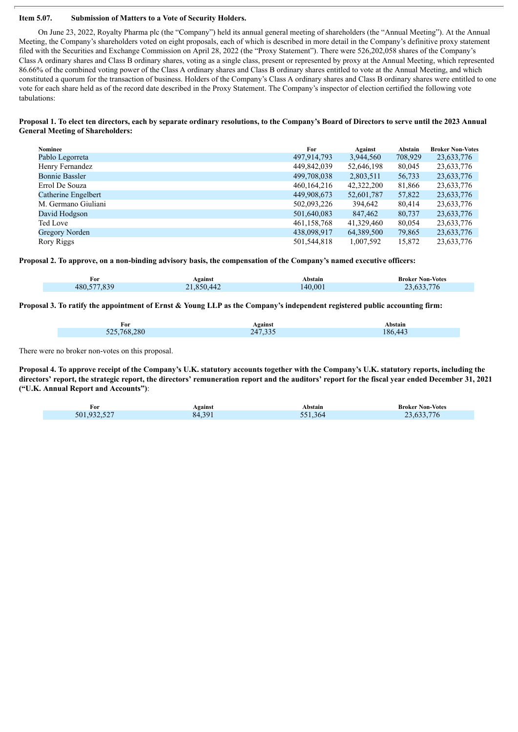#### **Item 5.07. Submission of Matters to a Vote of Security Holders.**

On June 23, 2022, Royalty Pharma plc (the "Company") held its annual general meeting of shareholders (the "Annual Meeting"). At the Annual Meeting, the Company's shareholders voted on eight proposals, each of which is described in more detail in the Company's definitive proxy statement filed with the Securities and Exchange Commission on April 28, 2022 (the "Proxy Statement"). There were 526,202,058 shares of the Company's Class A ordinary shares and Class B ordinary shares, voting as a single class, present or represented by proxy at the Annual Meeting, which represented 86.66% of the combined voting power of the Class A ordinary shares and Class B ordinary shares entitled to vote at the Annual Meeting, and which constituted a quorum for the transaction of business. Holders of the Company's Class A ordinary shares and Class B ordinary shares were entitled to one vote for each share held as of the record date described in the Proxy Statement. The Company's inspector of election certified the following vote tabulations:

#### Proposal 1. To elect ten directors, each by separate ordinary resolutions, to the Company's Board of Directors to serve until the 2023 Annual **General Meeting of Shareholders:**

| Nominee               | For           | Against    | Abstain | <b>Broker Non-Votes</b> |
|-----------------------|---------------|------------|---------|-------------------------|
| Pablo Legorreta       | 497,914,793   | 3,944,560  | 708,929 | 23,633,776              |
| Henry Fernandez       | 449,842,039   | 52,646,198 | 80,045  | 23,633,776              |
| <b>Bonnie Bassler</b> | 499,708,038   | 2,803,511  | 56,733  | 23,633,776              |
| Errol De Souza        | 460, 164, 216 | 42,322,200 | 81,866  | 23,633,776              |
| Catherine Engelbert   | 449,908,673   | 52,601,787 | 57,822  | 23,633,776              |
| M. Germano Giuliani   | 502,093,226   | 394,642    | 80.414  | 23,633,776              |
| David Hodgson         | 501,640,083   | 847,462    | 80,737  | 23,633,776              |
| Ted Love              | 461, 158, 768 | 41,329,460 | 80,054  | 23,633,776              |
| Gregory Norden        | 438,098,917   | 64,389,500 | 79,865  | 23,633,776              |
| Rory Riggs            | 501,544,818   | 1,007,592  | 15,872  | 23,633,776              |

Proposal 2. To approve, on a non-binding advisory basis, the compensation of the Company's named executive officers:

| For         | Against    | Abstain | <b>Broker Non-Votes</b> |
|-------------|------------|---------|-------------------------|
| 480,577,839 | 21,850,442 | 140,001 | 23,633,776              |

Proposal 3. To ratify the appointment of Ernst & Young LLP as the Company's independent registered public accounting firm:

| For         | Against | Abstain |
|-------------|---------|---------|
| 525,768,280 | 247,335 | 186.443 |

There were no broker non-votes on this proposal.

Proposal 4. To approve receipt of the Company's U.K. statutory accounts together with the Company's U.K. statutory reports, including the directors' report, the strategic report, the directors' remuneration report and the auditors' report for the fiscal year ended December 31, 2021 **("U.K. Annual Report and Accounts")**:

| For         | Against | Abstain | <b>Broker Non-Votes</b> |
|-------------|---------|---------|-------------------------|
| 501,932,527 | 84,391  | 551,364 | 23,633,776              |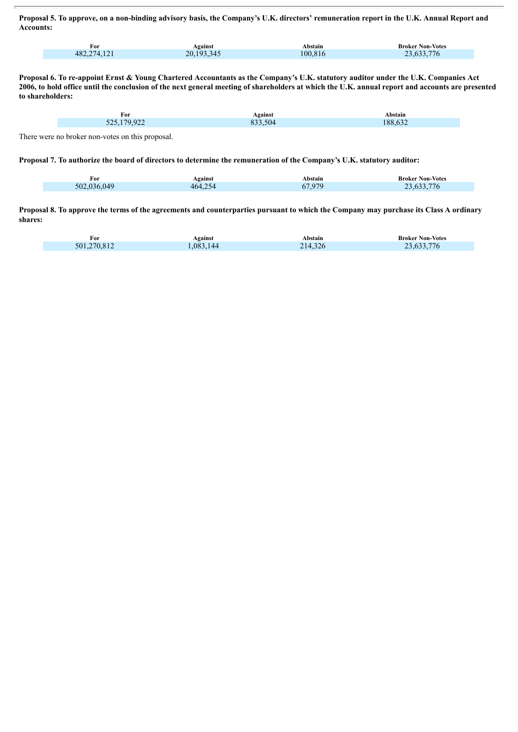Proposal 5. To approve, on a non-binding advisory basis, the Company's U.K. directors' remuneration report in the U.K. Annual Report and **Accounts:**

| T.<br>For                          | Against                 | Abstain | <b>Broker Non-Votes</b> |
|------------------------------------|-------------------------|---------|-------------------------|
| $1^{\sim}1$<br>482,274<br>7. I 4 I | 193.345<br>20.<br>ں ہے۔ | 100.816 | 533.776<br>$-$ n + +    |

Proposal 6. To re-appoint Ernst & Young Chartered Accountants as the Company's U.K. statutory auditor under the U.K. Companies Act 2006, to hold office until the conclusion of the next general meeting of shareholders at which the U.K. annual report and accounts are presented **to shareholders:**

| For                                                             | Against        | Abstain                                 |
|-----------------------------------------------------------------|----------------|-----------------------------------------|
| 50.022<br>u,<br>``<br>$\sim$<br>$\overline{\phantom{a}}$<br>--- | $-\sim$<br>504 | $\sim$ $\sim$ $\sim$<br>$\Omega$<br>XX. |
|                                                                 |                |                                         |

There were no broker non-votes on this proposal.

Proposal 7. To authorize the board of directors to determine the remuneration of the Company's U.K. statutory auditor:

| For         | Against | Abstain              | <b>Broker Non-Votes</b> |
|-------------|---------|----------------------|-------------------------|
| 502,036,049 | 464.254 | <b>37 Q70</b><br>6/9 | 23,633,776              |

Proposal 8. To approve the terms of the agreements and counterparties pursuant to which the Company may purchase its Class A ordinary **shares:**

| For         | <b>Against</b> | Abstain | <b>Broker Non-Votes</b> |
|-------------|----------------|---------|-------------------------|
| 501.270.812 | ,083,144       | 214,326 | 23,633,776              |